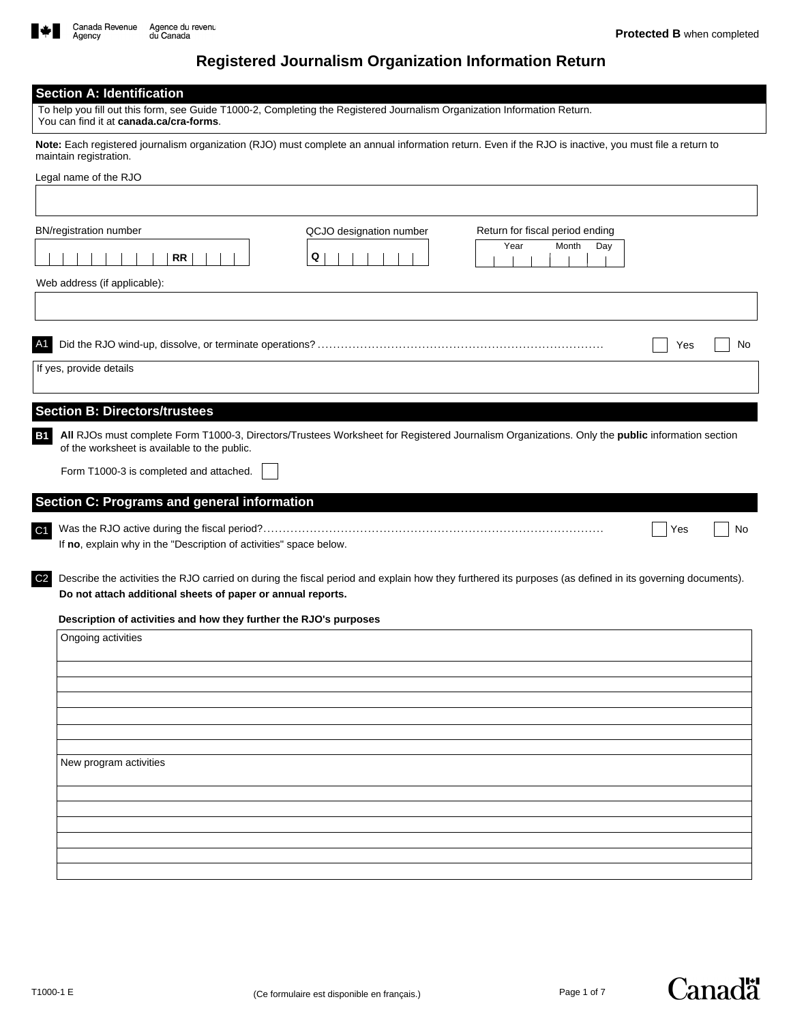

## **Registered Journalism Organization Information Return**

| <b>Section A: Identification</b><br>To help you fill out this form, see Guide T1000-2, Completing the Registered Journalism Organization Information Return.                                                                              |
|-------------------------------------------------------------------------------------------------------------------------------------------------------------------------------------------------------------------------------------------|
| You can find it at canada.ca/cra-forms.<br>Note: Each registered journalism organization (RJO) must complete an annual information return. Even if the RJO is inactive, you must file a return to                                         |
| maintain registration.                                                                                                                                                                                                                    |
| Legal name of the RJO                                                                                                                                                                                                                     |
|                                                                                                                                                                                                                                           |
| <b>BN/registration number</b><br>QCJO designation number<br>Return for fiscal period ending                                                                                                                                               |
| Year<br>Month<br>Day<br>Q<br>RR                                                                                                                                                                                                           |
| Web address (if applicable):                                                                                                                                                                                                              |
|                                                                                                                                                                                                                                           |
| No<br>Yes                                                                                                                                                                                                                                 |
| If yes, provide details                                                                                                                                                                                                                   |
|                                                                                                                                                                                                                                           |
| <b>Section B: Directors/trustees</b>                                                                                                                                                                                                      |
| All RJOs must complete Form T1000-3, Directors/Trustees Worksheet for Registered Journalism Organizations. Only the public information section<br><b>B1</b><br>of the worksheet is available to the public.                               |
| Form T1000-3 is completed and attached.                                                                                                                                                                                                   |
| Section C: Programs and general information                                                                                                                                                                                               |
| C1<br>Yes<br>No<br>If no, explain why in the "Description of activities" space below.                                                                                                                                                     |
| C <sub>2</sub><br>Describe the activities the RJO carried on during the fiscal period and explain how they furthered its purposes (as defined in its governing documents).<br>Do not attach additional sheets of paper or annual reports. |
| Description of activities and how they further the RJO's purposes                                                                                                                                                                         |
| Ongoing activities                                                                                                                                                                                                                        |
|                                                                                                                                                                                                                                           |
|                                                                                                                                                                                                                                           |
|                                                                                                                                                                                                                                           |
|                                                                                                                                                                                                                                           |
| New program activities                                                                                                                                                                                                                    |
|                                                                                                                                                                                                                                           |
|                                                                                                                                                                                                                                           |
|                                                                                                                                                                                                                                           |
|                                                                                                                                                                                                                                           |
|                                                                                                                                                                                                                                           |

**Canadä**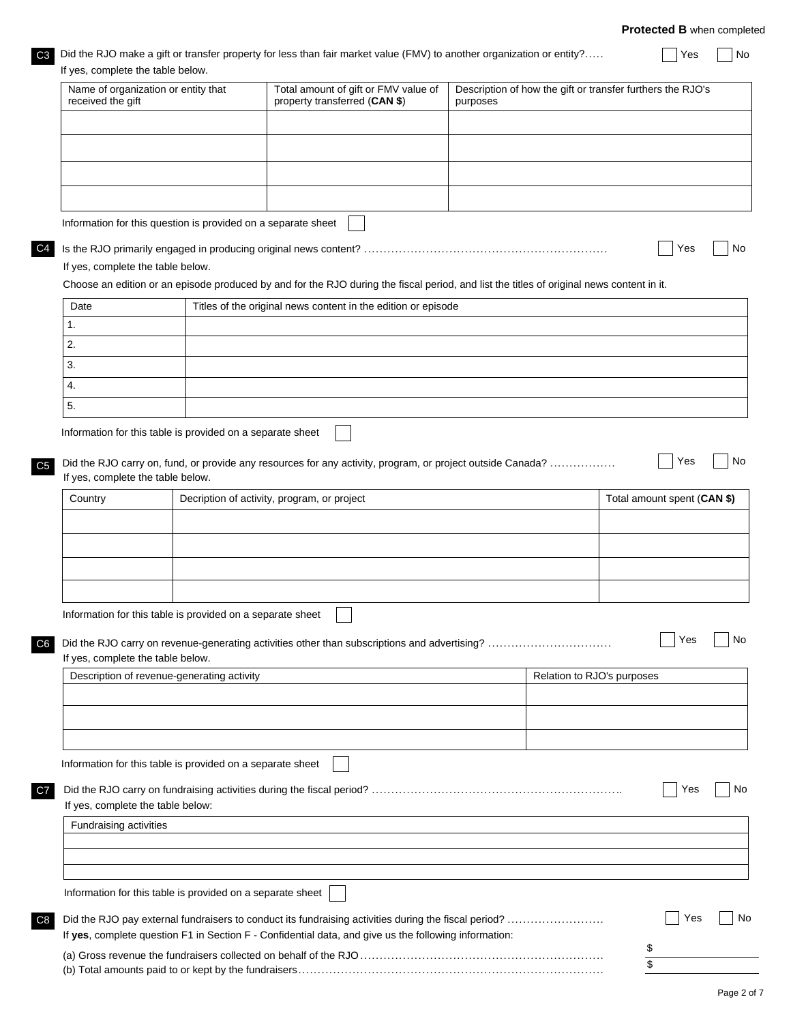**Protected B** when completed

| iges Did the RJO make a gift or transfer property for less than fair market value (FMV) to another organization or entity? | $\bigcap$ Yes $\bigcap$ No |  |
|----------------------------------------------------------------------------------------------------------------------------|----------------------------|--|
| If yon complete the table below                                                                                            |                            |  |

| received the gift                                             | Name of organization or entity that | Total amount of gift or FMV value of<br>property transferred (CAN \$)                                                                     | purposes | Description of how the gift or transfer furthers the RJO's |
|---------------------------------------------------------------|-------------------------------------|-------------------------------------------------------------------------------------------------------------------------------------------|----------|------------------------------------------------------------|
|                                                               |                                     |                                                                                                                                           |          |                                                            |
|                                                               |                                     |                                                                                                                                           |          |                                                            |
|                                                               |                                     |                                                                                                                                           |          |                                                            |
|                                                               |                                     |                                                                                                                                           |          |                                                            |
|                                                               |                                     |                                                                                                                                           |          |                                                            |
| Information for this question is provided on a separate sheet |                                     |                                                                                                                                           |          |                                                            |
|                                                               |                                     |                                                                                                                                           |          | Yes                                                        |
| If yes, complete the table below.                             |                                     | Choose an edition or an episode produced by and for the RJO during the fiscal period, and list the titles of original news content in it. |          |                                                            |
| Date                                                          |                                     | Titles of the original news content in the edition or episode                                                                             |          |                                                            |
| 1.                                                            |                                     |                                                                                                                                           |          |                                                            |
| 2.                                                            |                                     |                                                                                                                                           |          |                                                            |
| 3.                                                            |                                     |                                                                                                                                           |          |                                                            |
| 4.                                                            |                                     |                                                                                                                                           |          |                                                            |
| 5.                                                            |                                     |                                                                                                                                           |          |                                                            |
| If yes, complete the table below.                             |                                     |                                                                                                                                           |          |                                                            |
|                                                               |                                     |                                                                                                                                           |          |                                                            |
| Country                                                       |                                     | Decription of activity, program, or project                                                                                               |          | Total amount spent (CAN \$)                                |
|                                                               |                                     |                                                                                                                                           |          |                                                            |
|                                                               |                                     |                                                                                                                                           |          |                                                            |
|                                                               |                                     |                                                                                                                                           |          |                                                            |
|                                                               |                                     |                                                                                                                                           |          |                                                            |
| Information for this table is provided on a separate sheet    |                                     |                                                                                                                                           |          |                                                            |
|                                                               |                                     |                                                                                                                                           |          | Yes                                                        |
| If yes, complete the table below.                             |                                     |                                                                                                                                           |          |                                                            |
| Description of revenue-generating activity                    |                                     |                                                                                                                                           |          | Relation to RJO's purposes                                 |
|                                                               |                                     |                                                                                                                                           |          |                                                            |
|                                                               |                                     |                                                                                                                                           |          |                                                            |
|                                                               |                                     |                                                                                                                                           |          |                                                            |
| Information for this table is provided on a separate sheet    |                                     |                                                                                                                                           |          |                                                            |
|                                                               |                                     |                                                                                                                                           |          |                                                            |
|                                                               |                                     |                                                                                                                                           |          | Yes                                                        |
| If yes, complete the table below:<br>Fundraising activities   |                                     |                                                                                                                                           |          |                                                            |
|                                                               |                                     |                                                                                                                                           |          |                                                            |
|                                                               |                                     |                                                                                                                                           |          |                                                            |
|                                                               |                                     |                                                                                                                                           |          |                                                            |
| Information for this table is provided on a separate sheet    |                                     | Did the RJO pay external fundraisers to conduct its fundraising activities during the fiscal period?                                      |          | Yes                                                        |

(b) Total amounts paid to or kept by the fundraisers............................................................................... \$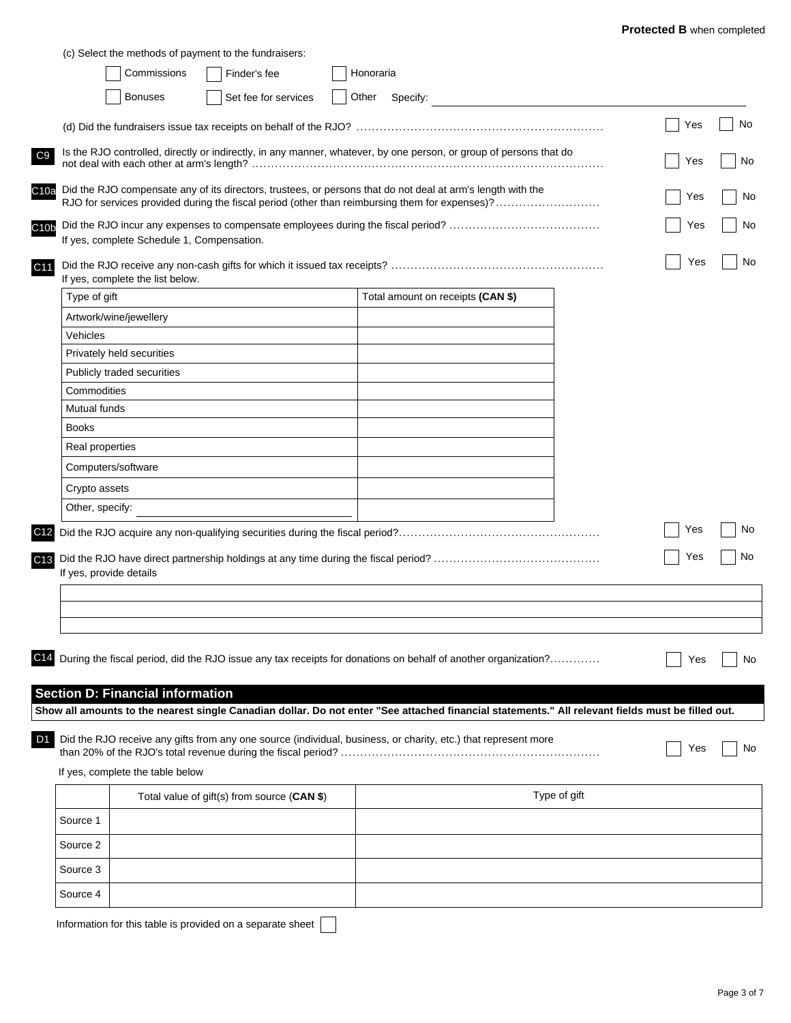|                      | Commissions                                | (c) Select the methods of payment to the fundraisers:<br>Finder's fee | Honoraria |                                                                                                                                                                                                               |              |     |  |
|----------------------|--------------------------------------------|-----------------------------------------------------------------------|-----------|---------------------------------------------------------------------------------------------------------------------------------------------------------------------------------------------------------------|--------------|-----|--|
|                      |                                            |                                                                       |           |                                                                                                                                                                                                               |              |     |  |
|                      | <b>Bonuses</b>                             | Set fee for services                                                  | Other     | Specify:                                                                                                                                                                                                      |              |     |  |
|                      |                                            |                                                                       |           |                                                                                                                                                                                                               |              | Yes |  |
|                      |                                            |                                                                       |           | Is the RJO controlled, directly or indirectly, in any manner, whatever, by one person, or group of persons that do                                                                                            |              |     |  |
|                      |                                            |                                                                       |           |                                                                                                                                                                                                               |              | Yes |  |
|                      |                                            |                                                                       |           | Did the RJO compensate any of its directors, trustees, or persons that do not deal at arm's length with the<br>RJO for services provided during the fiscal period (other than reimbursing them for expenses)? |              | Yes |  |
|                      |                                            |                                                                       |           |                                                                                                                                                                                                               |              | Yes |  |
|                      | If yes, complete Schedule 1, Compensation. |                                                                       |           |                                                                                                                                                                                                               |              |     |  |
|                      |                                            |                                                                       |           |                                                                                                                                                                                                               |              | Yes |  |
|                      | If yes, complete the list below.           |                                                                       |           |                                                                                                                                                                                                               |              |     |  |
| Type of gift         |                                            |                                                                       |           | Total amount on receipts (CAN \$)                                                                                                                                                                             |              |     |  |
|                      | Artwork/wine/jewellery                     |                                                                       |           |                                                                                                                                                                                                               |              |     |  |
| Vehicles             |                                            |                                                                       |           |                                                                                                                                                                                                               |              |     |  |
|                      | Privately held securities                  |                                                                       |           |                                                                                                                                                                                                               |              |     |  |
|                      | Publicly traded securities                 |                                                                       |           |                                                                                                                                                                                                               |              |     |  |
| Commodities          |                                            |                                                                       |           |                                                                                                                                                                                                               |              |     |  |
| Mutual funds         |                                            |                                                                       |           |                                                                                                                                                                                                               |              |     |  |
| <b>Books</b>         |                                            |                                                                       |           |                                                                                                                                                                                                               |              |     |  |
| Real properties      |                                            |                                                                       |           |                                                                                                                                                                                                               |              |     |  |
|                      | Computers/software                         |                                                                       |           |                                                                                                                                                                                                               |              |     |  |
|                      |                                            |                                                                       |           |                                                                                                                                                                                                               |              |     |  |
| Crypto assets        |                                            |                                                                       |           |                                                                                                                                                                                                               |              |     |  |
| Other, specify:      |                                            |                                                                       |           |                                                                                                                                                                                                               |              |     |  |
|                      |                                            |                                                                       |           |                                                                                                                                                                                                               |              | Yes |  |
|                      |                                            |                                                                       |           |                                                                                                                                                                                                               |              | Yes |  |
|                      | If yes, provide details                    |                                                                       |           |                                                                                                                                                                                                               |              |     |  |
|                      |                                            |                                                                       |           |                                                                                                                                                                                                               |              |     |  |
|                      |                                            |                                                                       |           |                                                                                                                                                                                                               |              |     |  |
|                      |                                            |                                                                       |           |                                                                                                                                                                                                               |              |     |  |
|                      |                                            |                                                                       |           |                                                                                                                                                                                                               |              |     |  |
|                      |                                            |                                                                       |           |                                                                                                                                                                                                               |              |     |  |
|                      |                                            |                                                                       |           | During the fiscal period, did the RJO issue any tax receipts for donations on behalf of another organization?                                                                                                 |              | Yes |  |
|                      |                                            |                                                                       |           |                                                                                                                                                                                                               |              |     |  |
|                      | <b>Section D: Financial information</b>    |                                                                       |           |                                                                                                                                                                                                               |              |     |  |
|                      |                                            |                                                                       |           | Show all amounts to the nearest single Canadian dollar. Do not enter "See attached financial statements." All relevant fields must be filled out.                                                             |              |     |  |
|                      |                                            |                                                                       |           |                                                                                                                                                                                                               |              |     |  |
|                      |                                            |                                                                       |           | Did the RJO receive any gifts from any one source (individual, business, or charity, etc.) that represent more                                                                                                |              | Yes |  |
|                      |                                            |                                                                       |           |                                                                                                                                                                                                               |              |     |  |
|                      | If yes, complete the table below           |                                                                       |           |                                                                                                                                                                                                               |              |     |  |
|                      |                                            | Total value of gift(s) from source (CAN \$)                           |           |                                                                                                                                                                                                               | Type of gift |     |  |
|                      |                                            |                                                                       |           |                                                                                                                                                                                                               |              |     |  |
| Source 1<br>Source 2 |                                            |                                                                       |           |                                                                                                                                                                                                               |              |     |  |
|                      |                                            |                                                                       |           |                                                                                                                                                                                                               |              |     |  |
| Source 3             |                                            |                                                                       |           |                                                                                                                                                                                                               |              |     |  |

Information for this table is provided on a separate sheet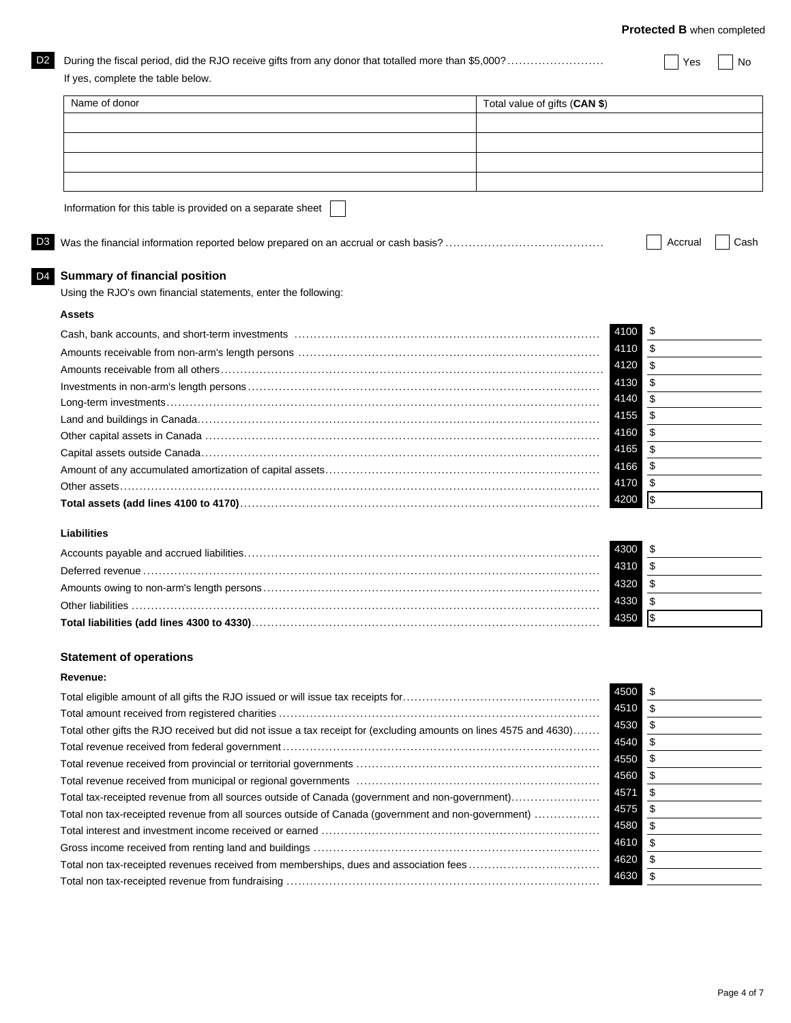**Protected B** when completed

| Name of donor                                                                                                     | Total value of gifts (CAN \$) |                           |
|-------------------------------------------------------------------------------------------------------------------|-------------------------------|---------------------------|
|                                                                                                                   |                               |                           |
|                                                                                                                   |                               |                           |
|                                                                                                                   |                               |                           |
|                                                                                                                   |                               |                           |
| Information for this table is provided on a separate sheet                                                        |                               |                           |
|                                                                                                                   |                               | Accrual                   |
| <b>Summary of financial position</b>                                                                              |                               |                           |
| Using the RJO's own financial statements, enter the following:                                                    |                               |                           |
| <b>Assets</b>                                                                                                     |                               |                           |
|                                                                                                                   | 4100                          | \$                        |
|                                                                                                                   | 4110                          | \$                        |
|                                                                                                                   | 4120                          | \$                        |
|                                                                                                                   | 4130                          | $\overline{\mathfrak{s}}$ |
|                                                                                                                   | 4140                          | $\overline{\$}$           |
|                                                                                                                   | 4155                          | \$                        |
|                                                                                                                   | \$<br>4160                    |                           |
|                                                                                                                   | 4165                          | \$                        |
|                                                                                                                   |                               |                           |
|                                                                                                                   | \$<br>4166                    |                           |
|                                                                                                                   | 4170                          | \$                        |
|                                                                                                                   | $\sqrt{3}$<br>4200            |                           |
| <b>Liabilities</b>                                                                                                |                               |                           |
|                                                                                                                   | 4300                          | \$                        |
|                                                                                                                   | 4310                          | \$                        |
|                                                                                                                   | 4320                          | \$                        |
|                                                                                                                   | 4330                          | \$                        |
| Total liabilities (add lines 4300 to 4330).                                                                       | l\$<br>4350                   |                           |
|                                                                                                                   |                               |                           |
|                                                                                                                   |                               |                           |
| <b>Statement of operations</b><br>Revenue:                                                                        |                               |                           |
|                                                                                                                   | 4500<br>\$                    |                           |
|                                                                                                                   | 4510                          | \$                        |
|                                                                                                                   | 4530                          | \$                        |
| Total other gifts the RJO received but did not issue a tax receipt for (excluding amounts on lines 4575 and 4630) | 4540                          | \$                        |
|                                                                                                                   | 4550                          | \$                        |
|                                                                                                                   | 4560                          | \$                        |
|                                                                                                                   | 4571                          | \$                        |
| Total tax-receipted revenue from all sources outside of Canada (government and non-government)                    | 4575                          | \$                        |
| Total non tax-receipted revenue from all sources outside of Canada (government and non-government)                | 4580                          |                           |
|                                                                                                                   |                               | \$                        |
| Total non tax-receipted revenues received from memberships, dues and association fees                             | 4610<br>4620                  | \$<br>\$                  |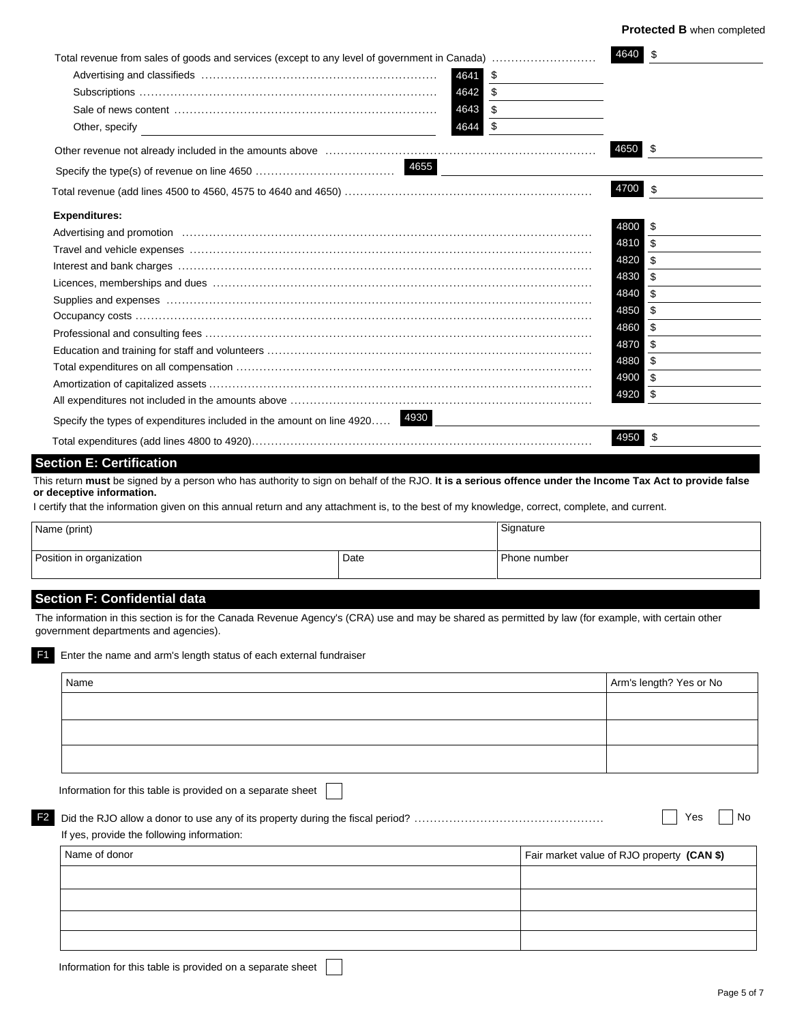| Total revenue from sales of goods and services (except to any level of government in Canada)                                                                                                                                   | 4640 \$ |                |
|--------------------------------------------------------------------------------------------------------------------------------------------------------------------------------------------------------------------------------|---------|----------------|
| 4641 \$                                                                                                                                                                                                                        |         |                |
| 4642 \$                                                                                                                                                                                                                        |         |                |
| 4643 \$                                                                                                                                                                                                                        |         |                |
| 4644 \$<br>Other, specify                                                                                                                                                                                                      |         |                |
|                                                                                                                                                                                                                                | 4650 \$ |                |
|                                                                                                                                                                                                                                |         |                |
|                                                                                                                                                                                                                                | 4700 \$ |                |
| <b>Expenditures:</b>                                                                                                                                                                                                           |         |                |
|                                                                                                                                                                                                                                | 4800    | \$             |
|                                                                                                                                                                                                                                | 4810    | \$             |
|                                                                                                                                                                                                                                | 4820    | $\mathfrak{L}$ |
|                                                                                                                                                                                                                                | 4830    | \$             |
| Supplies and expenses with the continuum control of the state of the state of the state of the state of the state of the state of the state of the state of the state of the state of the state of the state of the state of t | 4840    | \$             |
|                                                                                                                                                                                                                                | 4850    | \$             |
|                                                                                                                                                                                                                                | 4860    | \$             |
|                                                                                                                                                                                                                                | 4870    | \$             |
|                                                                                                                                                                                                                                | 4880    | \$             |
|                                                                                                                                                                                                                                | 4900    | \$             |
|                                                                                                                                                                                                                                | 4920 \$ |                |
|                                                                                                                                                                                                                                |         |                |
| Specify the types of expenditures included in the amount on line 4920 4930                                                                                                                                                     |         |                |
|                                                                                                                                                                                                                                | 4950    | -\$            |

## **Section E: Certification**

This return **must** be signed by a person who has authority to sign on behalf of the RJO. **It is a serious offence under the Income Tax Act to provide false or deceptive information.**

I certify that the information given on this annual return and any attachment is, to the best of my knowledge, correct, complete, and current.

| Name (print)             |      | Signature    |
|--------------------------|------|--------------|
| Position in organization | Date | Phone number |

## **Section F: Confidential data**

The information in this section is for the Canada Revenue Agency's (CRA) use and may be shared as permitted by law (for example, with certain other government departments and agencies).

| Information for this table is provided on a separate sheet |  |                                            |
|------------------------------------------------------------|--|--------------------------------------------|
|                                                            |  |                                            |
|                                                            |  |                                            |
|                                                            |  |                                            |
| If yes, provide the following information:                 |  | Yes                                        |
| Name of donor                                              |  | Fair market value of RJO property (CAN \$) |
|                                                            |  |                                            |
|                                                            |  |                                            |
|                                                            |  |                                            |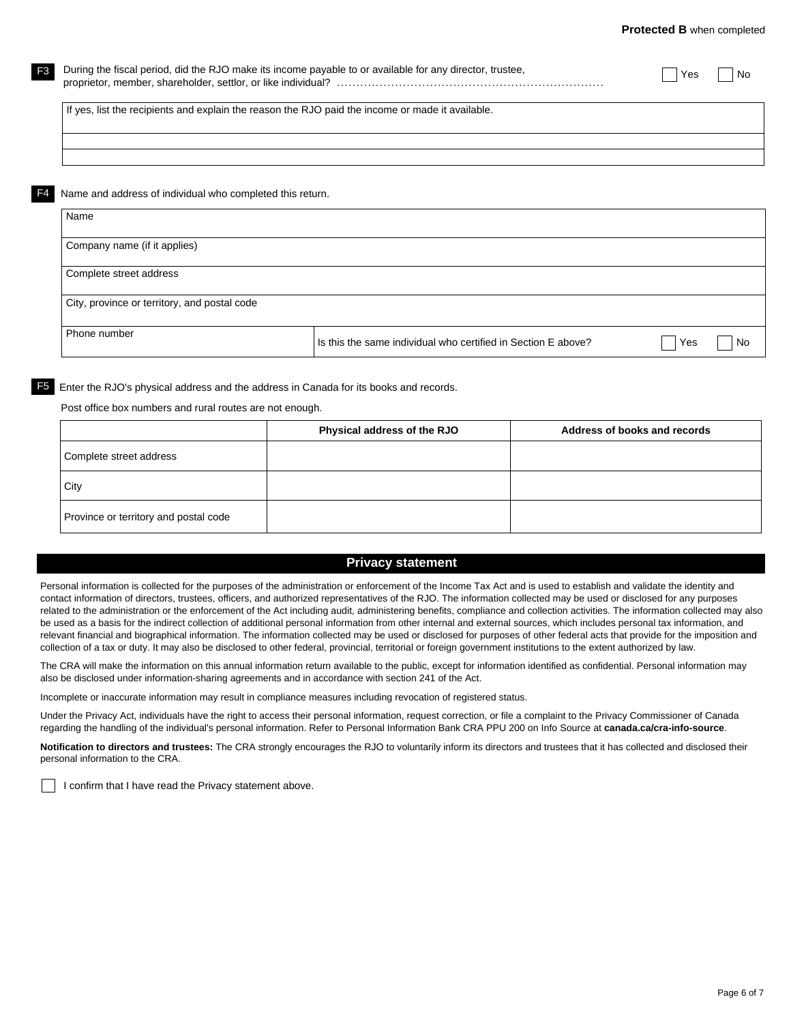| F <sub>3</sub> | During the fiscal period, did the RJO make its income payable to or available for any director, trustee, | Yes | No |
|----------------|----------------------------------------------------------------------------------------------------------|-----|----|
|                | If yes, list the recipients and explain the reason the RJO paid the income or made it available.         |     |    |
|                |                                                                                                          |     |    |
| F4             | Name and address of individual who completed this return.                                                |     |    |
|                | Name                                                                                                     |     |    |
|                | Company name (if it applies)                                                                             |     |    |
|                | Complete street address                                                                                  |     |    |

City, province or territory, and postal code

Phone number Is this the same individual who certified in Section E above?  $\Box$  Yes  $\Box$  No

F5 Enter the RJO's physical address and the address in Canada for its books and records.

Post office box numbers and rural routes are not enough.

|                                       | Physical address of the RJO | Address of books and records |
|---------------------------------------|-----------------------------|------------------------------|
| Complete street address               |                             |                              |
| City                                  |                             |                              |
| Province or territory and postal code |                             |                              |

## **Privacy statement**

Personal information is collected for the purposes of the administration or enforcement of the Income Tax Act and is used to establish and validate the identity and contact information of directors, trustees, officers, and authorized representatives of the RJO. The information collected may be used or disclosed for any purposes related to the administration or the enforcement of the Act including audit, administering benefits, compliance and collection activities. The information collected may also be used as a basis for the indirect collection of additional personal information from other internal and external sources, which includes personal tax information, and relevant financial and biographical information. The information collected may be used or disclosed for purposes of other federal acts that provide for the imposition and collection of a tax or duty. It may also be disclosed to other federal, provincial, territorial or foreign government institutions to the extent authorized by law.

The CRA will make the information on this annual information return available to the public, except for information identified as confidential. Personal information may also be disclosed under information-sharing agreements and in accordance with section 241 of the Act.

Incomplete or inaccurate information may result in compliance measures including revocation of registered status.

Under the Privacy Act, individuals have the right to access their personal information, request correction, or file a complaint to the Privacy Commissioner of Canada regarding the handling of the individual's personal information. Refer to Personal Information Bank CRA PPU 200 on Info Source at **canada.ca/cra-info-source**.

**Notification to directors and trustees:** The CRA strongly encourages the RJO to voluntarily inform its directors and trustees that it has collected and disclosed their personal information to the CRA.

I confirm that I have read the Privacy statement above.